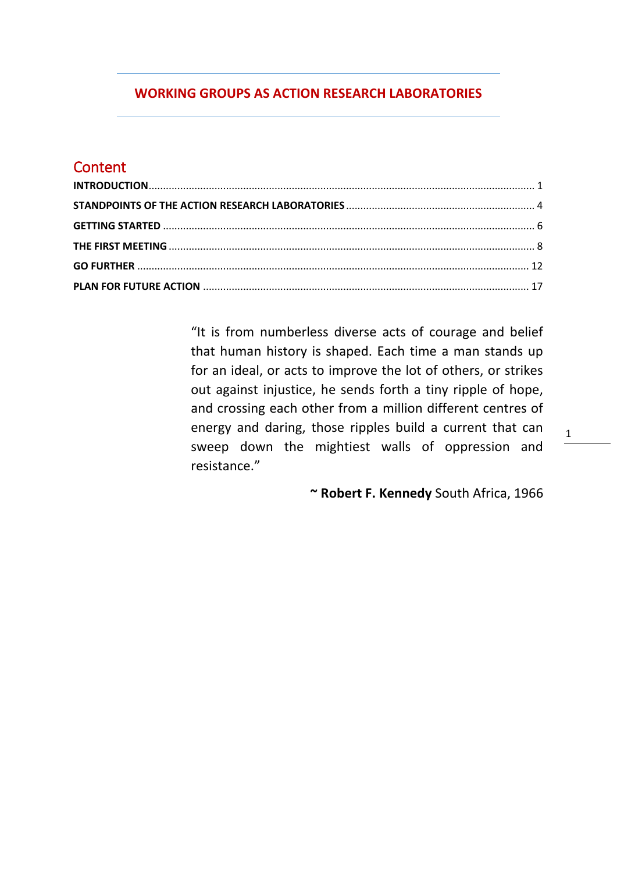# **WORKING GROUPS AS ACTION RESEARCH LABORATORIES**

# **Content**

<span id="page-0-0"></span>

"It is from numberless diverse acts of courage and belief that human history is shaped. Each time a man stands up for an ideal, or acts to improve the lot of others, or strikes out against injustice, he sends forth a tiny ripple of hope, and crossing each other from a million different centres of energy and daring, those ripples build a current that can sweep down the mightiest walls of oppression and resistance."

**~ Robert F. Kennedy** South Africa, 1966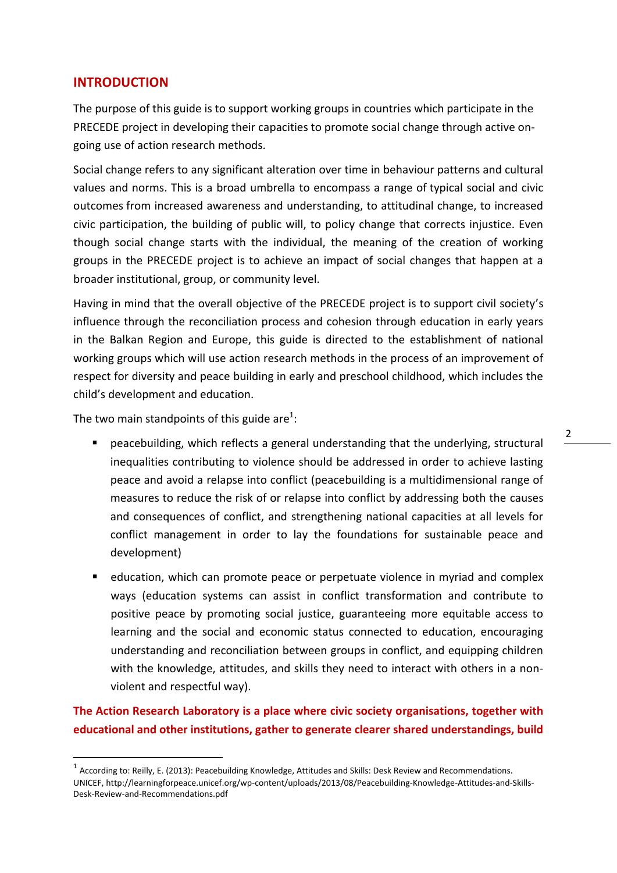# **INTRODUCTION**

The purpose of this guide is to support working groups in countries which participate in the PRECEDE project in developing their capacities to promote social change through active ongoing use of action research methods.

Social change refers to any significant alteration over time in behaviour patterns and cultural values and norms. This is a broad umbrella to encompass a range of [typical social and civic](http://animatingdemocracy.org/social-impact-indicators/typical-social-civic-outcomes)  [outcomes](http://animatingdemocracy.org/social-impact-indicators/typical-social-civic-outcomes) from increased awareness and understanding, to attitudinal change, to increased civic participation, the building of public will, to policy change that corrects injustice. Even though social change starts with the individual, the meaning of the creation of working groups in the PRECEDE project is to achieve an impact of social changes that happen at a broader institutional, group, or community level.

Having in mind that the overall objective of the PRECEDE project is to support civil society's influence through the reconciliation process and cohesion through education in early years in the Balkan Region and Europe, this guide is directed to the establishment of national working groups which will use action research methods in the process of an improvement of respect for diversity and peace building in early and preschool childhood, which includes the child's development and education.

The two main standpoints of this guide are<sup>1</sup>:

1

- peacebuilding, which reflects a general understanding that the underlying, structural inequalities contributing to violence should be addressed in order to achieve lasting peace and avoid a relapse into conflict (peacebuilding is a multidimensional range of measures to reduce the risk of or relapse into conflict by addressing both the causes and consequences of conflict, and strengthening national capacities at all levels for conflict management in order to lay the foundations for sustainable peace and development)
- education, which can promote peace or perpetuate violence in myriad and complex ways (education systems can assist in conflict transformation and contribute to positive peace by promoting social justice, guaranteeing more equitable access to learning and the social and economic status connected to education, encouraging understanding and reconciliation between groups in conflict, and equipping children with the knowledge, attitudes, and skills they need to interact with others in a nonviolent and respectful way).

**The Action Research Laboratory is a place where civic society organisations, together with educational and other institutions, gather to generate clearer shared understandings, build** 

 $^1$  According to: Reilly, E. (2013): Peacebuilding Knowledge, Attitudes and Skills: Desk Review and Recommendations. UNICEF, http://learningforpeace.unicef.org/wp-content/uploads/2013/08/Peacebuilding-Knowledge-Attitudes-and-Skills-Desk-Review-and-Recommendations.pdf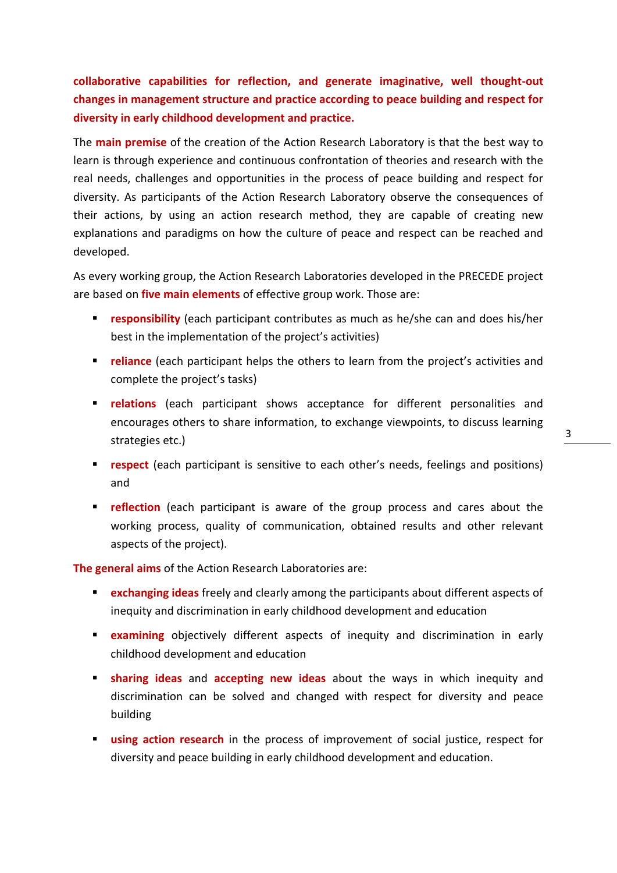**collaborative capabilities for reflection, and generate imaginative, well thought-out changes in management structure and practice according to peace building and respect for diversity in early childhood development and practice.**

The **main premise** of the creation of the Action Research Laboratory is that the best way to learn is through experience and continuous confrontation of theories and research with the real needs, challenges and opportunities in the process of peace building and respect for diversity. As participants of the Action Research Laboratory observe the consequences of their actions, by using an action research method, they are capable of creating new explanations and paradigms on how the culture of peace and respect can be reached and developed.

As every working group, the Action Research Laboratories developed in the PRECEDE project are based on **five main elements** of effective group work. Those are:

- **responsibility** (each participant contributes as much as he/she can and does his/her best in the implementation of the project's activities)
- **reliance** (each participant helps the others to learn from the project's activities and complete the project's tasks)
- **relations** (each participant shows acceptance for different personalities and encourages others to share information, to exchange viewpoints, to discuss learning strategies etc.)
- **respect** (each participant is sensitive to each other's needs, feelings and positions) and
- **reflection** (each participant is aware of the group process and cares about the working process, quality of communication, obtained results and other relevant aspects of the project).

**The general aims** of the Action Research Laboratories are:

- **exchanging ideas** freely and clearly among the participants about different aspects of inequity and discrimination in early childhood development and education
- **Examining** objectively different aspects of inequity and discrimination in early childhood development and education
- **sharing ideas** and **accepting new ideas** about the ways in which inequity and discrimination can be solved and changed with respect for diversity and peace building
- **using action research** in the process of improvement of social justice, respect for diversity and peace building in early childhood development and education.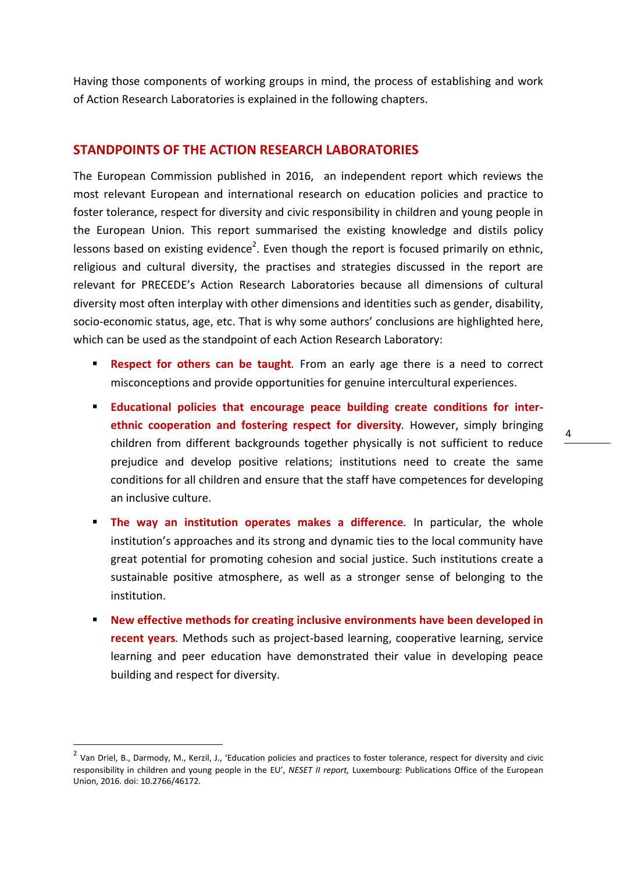Having those components of working groups in mind, the process of establishing and work of Action Research Laboratories is explained in the following chapters.

#### <span id="page-3-0"></span>**STANDPOINTS OF THE ACTION RESEARCH LABORATORIES**

The European Commission published in 2016, an independent report which reviews the most relevant European and international research on education policies and practice to foster tolerance, respect for diversity and civic responsibility in children and young people in the European Union. This report summarised the existing knowledge and distils policy lessons based on existing evidence<sup>2</sup>. Even though the report is focused primarily on ethnic, religious and cultural diversity, the practises and strategies discussed in the report are relevant for PRECEDE's Action Research Laboratories because all dimensions of cultural diversity most often interplay with other dimensions and identities such as gender, disability, socio-economic status, age, etc. That is why some authors' conclusions are highlighted here, which can be used as the standpoint of each Action Research Laboratory:

- **Respect for others can be taught**. From an early age there is a need to correct misconceptions and provide opportunities for genuine intercultural experiences.
- **Educational policies that encourage peace building create conditions for interethnic cooperation and fostering respect for diversity***.* However, simply bringing children from different backgrounds together physically is not sufficient to reduce prejudice and develop positive relations; institutions need to create the same conditions for all children and ensure that the staff have competences for developing an inclusive culture.
- **The way an institution operates makes a difference**. In particular, the whole institution's approaches and its strong and dynamic ties to the local community have great potential for promoting cohesion and social justice. Such institutions create a sustainable positive atmosphere, as well as a stronger sense of belonging to the institution.
- **New effective methods for creating inclusive environments have been developed in recent years***.* Methods such as project-based learning, cooperative learning, service learning and peer education have demonstrated their value in developing peace building and respect for diversity.

**.** 

<sup>&</sup>lt;sup>2</sup> Van Driel, B., Darmody, M., Kerzil, J., 'Education policies and practices to foster tolerance, respect for diversity and civic responsibility in children and young people in the EU', *NESET II report,* Luxembourg: Publications Office of the European Union, 2016. doi: 10.2766/46172.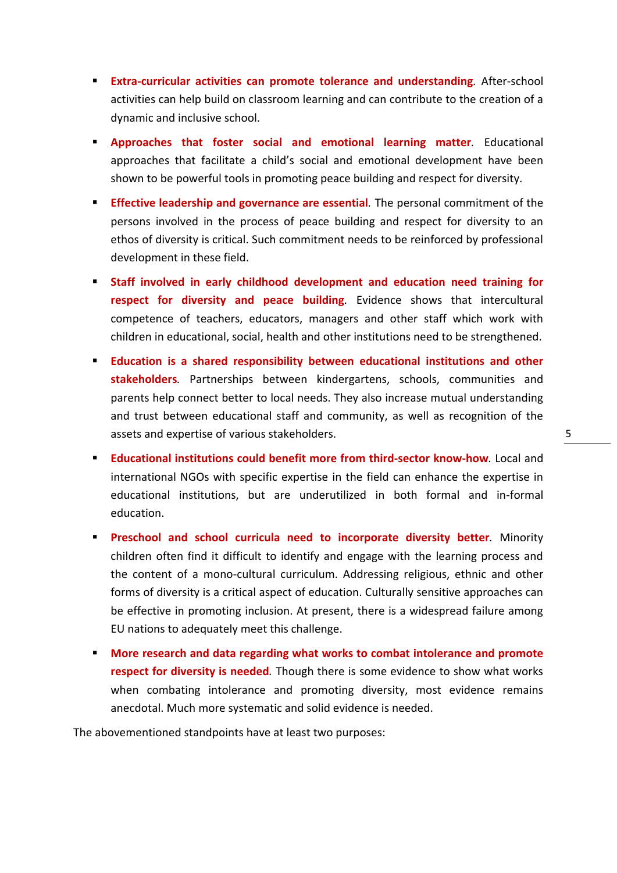- **Extra-curricular activities can promote tolerance and understanding**. After-school activities can help build on classroom learning and can contribute to the creation of a dynamic and inclusive school.
- **Approaches that foster social and emotional learning matter***.* Educational approaches that facilitate a child's social and emotional development have been shown to be powerful tools in promoting peace building and respect for diversity.
- **Effective leadership and governance are essential.** The personal commitment of the persons involved in the process of peace building and respect for diversity to an ethos of diversity is critical. Such commitment needs to be reinforced by professional development in these field.
- **Staff involved in early childhood development and education need training for respect for diversity and peace building***.* Evidence shows that intercultural competence of teachers, educators, managers and other staff which work with children in educational, social, health and other institutions need to be strengthened.
- **Education is a shared responsibility between educational institutions and other stakeholders***.* Partnerships between kindergartens, schools, communities and parents help connect better to local needs. They also increase mutual understanding and trust between educational staff and community, as well as recognition of the assets and expertise of various stakeholders.
- **Educational institutions could benefit more from third-sector know-how***.* Local and international NGOs with specific expertise in the field can enhance the expertise in educational institutions, but are underutilized in both formal and in-formal education.
- **Preschool and school curricula need to incorporate diversity better.** Minority children often find it difficult to identify and engage with the learning process and the content of a mono-cultural curriculum. Addressing religious, ethnic and other forms of diversity is a critical aspect of education. Culturally sensitive approaches can be effective in promoting inclusion. At present, there is a widespread failure among EU nations to adequately meet this challenge.
- **More research and data regarding what works to combat intolerance and promote respect for diversity is needed***.* Though there is some evidence to show what works when combating intolerance and promoting diversity, most evidence remains anecdotal. Much more systematic and solid evidence is needed.

The abovementioned standpoints have at least two purposes: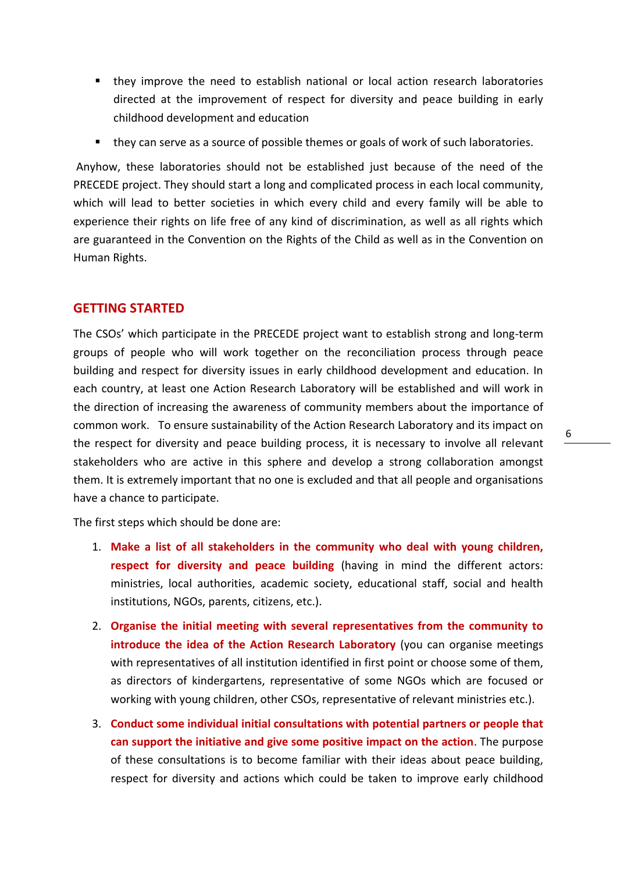- they improve the need to establish national or local action research laboratories directed at the improvement of respect for diversity and peace building in early childhood development and education
- they can serve as a source of possible themes or goals of work of such laboratories.

Anyhow, these laboratories should not be established just because of the need of the PRECEDE project. They should start a long and complicated process in each local community, which will lead to better societies in which every child and every family will be able to experience their rights on life free of any kind of discrimination, as well as all rights which are guaranteed in the Convention on the Rights of the Child as well as in the Convention on Human Rights.

# <span id="page-5-0"></span>**GETTING STARTED**

The CSOs' which participate in the PRECEDE project want to establish strong and long-term groups of people who will work together on the reconciliation process through peace building and respect for diversity issues in early childhood development and education. In each country, at least one Action Research Laboratory will be established and will work in the direction of increasing the awareness of community members about the importance of common work. To ensure sustainability of the Action Research Laboratory and its impact on the respect for diversity and peace building process, it is necessary to involve all relevant stakeholders who are active in this sphere and develop a strong collaboration amongst them. It is extremely important that no one is excluded and that all people and organisations have a chance to participate.

The first steps which should be done are:

- 1. **Make a list of all stakeholders in the community who deal with young children, respect for diversity and peace building** (having in mind the different actors: ministries, local authorities, academic society, educational staff, social and health institutions, NGOs, parents, citizens, etc.).
- 2. **Organise the initial meeting with several representatives from the community to introduce the idea of the Action Research Laboratory** (you can organise meetings with representatives of all institution identified in first point or choose some of them, as directors of kindergartens, representative of some NGOs which are focused or working with young children, other CSOs, representative of relevant ministries etc.).
- 3. **Conduct some individual initial consultations with potential partners or people that can support the initiative and give some positive impact on the action**. The purpose of these consultations is to become familiar with their ideas about peace building, respect for diversity and actions which could be taken to improve early childhood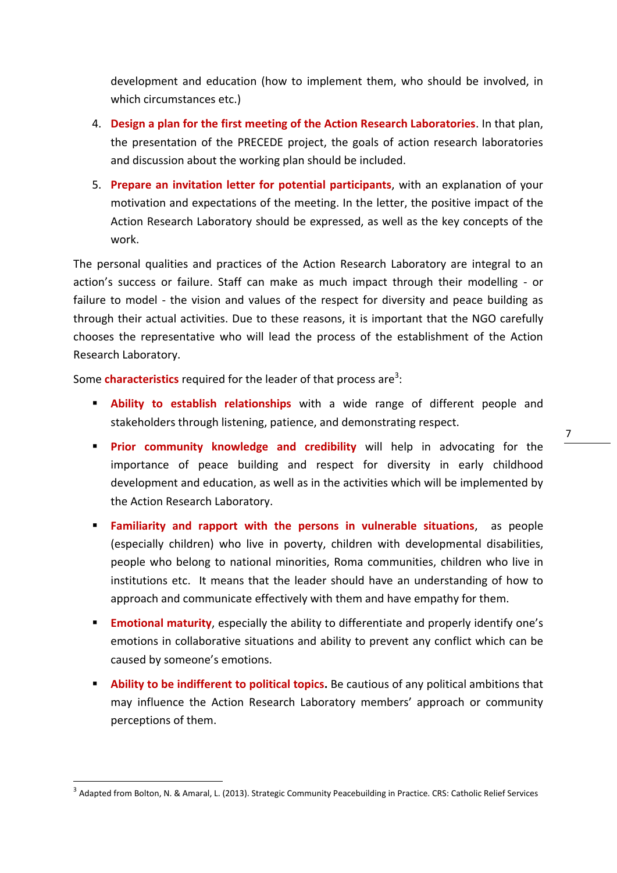development and education (how to implement them, who should be involved, in which circumstances etc.)

- 4. **Design a plan for the first meeting of the Action Research Laboratories**. In that plan, the presentation of the PRECEDE project, the goals of action research laboratories and discussion about the working plan should be included.
- 5. **Prepare an invitation letter for potential participants**, with an explanation of your motivation and expectations of the meeting. In the letter, the positive impact of the Action Research Laboratory should be expressed, as well as the key concepts of the work.

The personal qualities and practices of the Action Research Laboratory are integral to an action's success or failure. Staff can make as much impact through their modelling - or failure to model - the vision and values of the respect for diversity and peace building as through their actual activities. Due to these reasons, it is important that the NGO carefully chooses the representative who will lead the process of the establishment of the Action Research Laboratory.

Some **characteristics** required for the leader of that process are<sup>3</sup>:

- **Ability to establish relationships** with a wide range of different people and stakeholders through listening, patience, and demonstrating respect.
- **Prior community knowledge and credibility** will help in advocating for the importance of peace building and respect for diversity in early childhood development and education, as well as in the activities which will be implemented by the Action Research Laboratory.
- **Familiarity and rapport with the persons in vulnerable situations**,as people (especially children) who live in poverty, children with developmental disabilities, people who belong to national minorities, Roma communities, children who live in institutions etc. It means that the leader should have an understanding of how to approach and communicate effectively with them and have empathy for them.
- **Emotional maturity**, especially the ability to differentiate and properly identify one's emotions in collaborative situations and ability to prevent any conflict which can be caused by someone's emotions.
- **Ability to be indifferent to political topics.** Be cautious of any political ambitions that may influence the Action Research Laboratory members' approach or community perceptions of them.

**.** 

<sup>&</sup>lt;sup>3</sup> Adapted from Bolton, N. & Amaral, L. (2013). Strategic Community Peacebuilding in Practice. CRS: Catholic Relief Services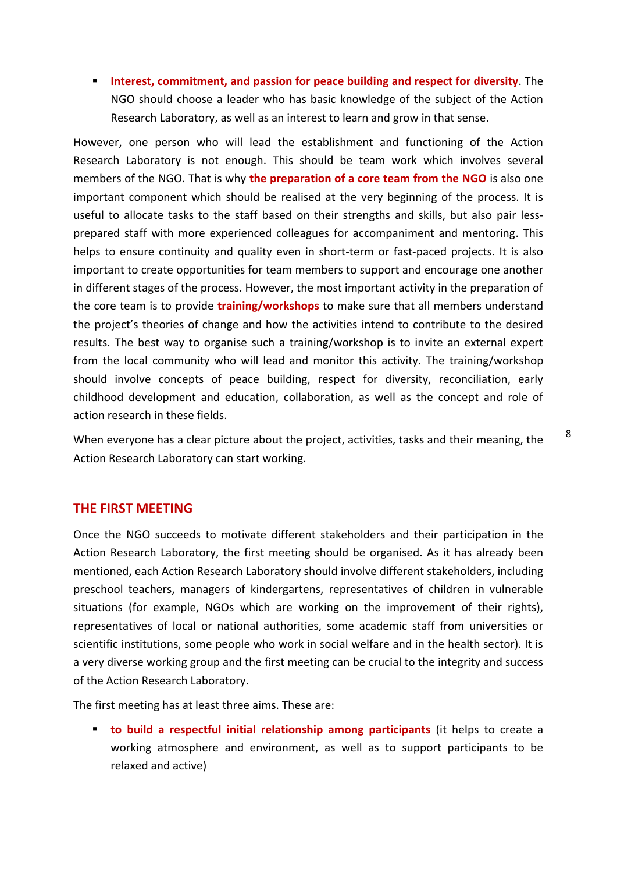**Interest, commitment, and passion for peace building and respect for diversity**. The NGO should choose a leader who has basic knowledge of the subject of the Action Research Laboratory, as well as an interest to learn and grow in that sense.

However, one person who will lead the establishment and functioning of the Action Research Laboratory is not enough. This should be team work which involves several members of the NGO. That is why **the preparation of a core team from the NGO** is also one important component which should be realised at the very beginning of the process. It is useful to allocate tasks to the staff based on their strengths and skills, but also pair lessprepared staff with more experienced colleagues for accompaniment and mentoring. This helps to ensure continuity and quality even in short-term or fast-paced projects. It is also important to create opportunities for team members to support and encourage one another in different stages of the process. However, the most important activity in the preparation of the core team is to provide **training/workshops** to make sure that all members understand the project's theories of change and how the activities intend to contribute to the desired results. The best way to organise such a training/workshop is to invite an external expert from the local community who will lead and monitor this activity. The training/workshop should involve concepts of peace building, respect for diversity, reconciliation, early childhood development and education, collaboration, as well as the concept and role of action research in these fields.

When everyone has a clear picture about the project, activities, tasks and their meaning, the Action Research Laboratory can start working.

# <span id="page-7-0"></span>**THE FIRST MEETING**

Once the NGO succeeds to motivate different stakeholders and their participation in the Action Research Laboratory, the first meeting should be organised. As it has already been mentioned, each Action Research Laboratory should involve different stakeholders, including preschool teachers, managers of kindergartens, representatives of children in vulnerable situations (for example, NGOs which are working on the improvement of their rights), representatives of local or national authorities, some academic staff from universities or scientific institutions, some people who work in social welfare and in the health sector). It is a very diverse working group and the first meeting can be crucial to the integrity and success of the Action Research Laboratory.

The first meeting has at least three aims. These are:

 **to build a respectful initial relationship among participants** (it helps to create a working atmosphere and environment, as well as to support participants to be relaxed and active)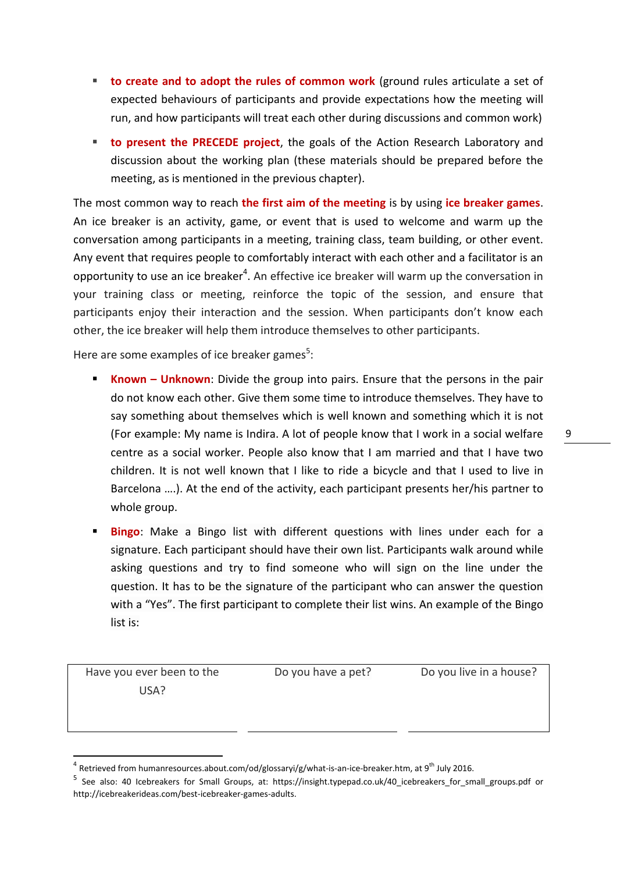- **to create and to adopt the rules of common work** (ground rules articulate a set of expected behaviours of participants and provide expectations how the meeting will run, and how participants will treat each other during discussions and common work)
- **to present the PRECEDE project**, the goals of the Action Research Laboratory and discussion about the working plan (these materials should be prepared before the meeting, as is mentioned in the previous chapter).

The most common way to reach **the first aim of the meeting** is by using **ice breaker games**. An ice breaker is an activity, game, or event that is used to welcome and warm up the conversation among participants in a meeting, training class, team building, or other event. Any event that requires people to comfortably interact with each other and a facilitator is an opportunity to use an ice breaker<sup>4</sup>. An effective ice breaker will warm up the conversation in your training class or meeting, reinforce the topic of the session, and ensure that participants enjoy their interaction and the session. When participants don't know each other, the ice breaker will help them introduce themselves to other participants.

Here are some examples of ice breaker games<sup>5</sup>:

- **Known Unknown**: Divide the group into pairs. Ensure that the persons in the pair do not know each other. Give them some time to introduce themselves. They have to say something about themselves which is well known and something which it is not (For example: My name is Indira. A lot of people know that I work in a social welfare centre as a social worker. People also know that I am married and that I have two children. It is not well known that I like to ride a bicycle and that I used to live in Barcelona ….). At the end of the activity, each participant presents her/his partner to whole group.
- **Bingo**: Make a Bingo list with different questions with lines under each for a signature. Each participant should have their own list. Participants walk around while asking questions and try to find someone who will sign on the line under the question. It has to be the signature of the participant who can answer the question with a "Yes". The first participant to complete their list wins. An example of the Bingo list is:

Have you ever been to the USA?

**.** 

Do you have a pet? Do you live in a house?

 $^4$  Retrieved from humanresources.about.com/od/glossaryi/g/what-is-an-ice-breaker.htm, at 9<sup>th</sup> July 2016.

<sup>5</sup> See also: 40 Icebreakers for Small Groups, at: [https://insight.typepad.co.uk/40\\_icebreakers\\_for\\_small\\_groups.pdf](https://insight.typepad.co.uk/40_icebreakers_for_small_groups.pdf) or http://icebreakerideas.com/best-icebreaker-games-adults.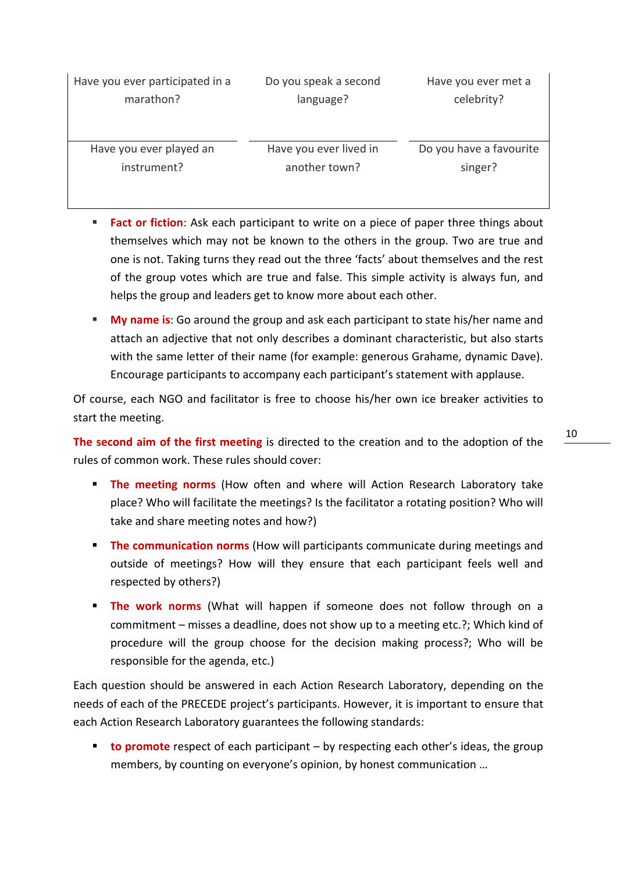| Have you ever participated in a | Do you speak a second  | Have you ever met a     |
|---------------------------------|------------------------|-------------------------|
| marathon?                       | language?              | celebrity?              |
|                                 |                        |                         |
|                                 |                        |                         |
| Have you ever played an         | Have you ever lived in | Do you have a favourite |
| instrument?                     | another town?          | singer?                 |
|                                 |                        |                         |
|                                 |                        |                         |

- **Fact or fiction**: Ask each participant to write on a piece of paper three things about themselves which may not be known to the others in the group. Two are true and one is not. Taking turns they read out the three 'facts' about themselves and the rest of the group votes which are true and false. This simple activity is always fun, and helps the group and leaders get to know more about each other.
- **My name is:** Go around the group and ask each participant to state his/her name and attach an adjective that not only describes a dominant characteristic, but also starts with the same letter of their name (for example: generous Grahame, dynamic Dave). Encourage participants to accompany each participant's statement with applause.

Of course, each NGO and facilitator is free to choose his/her own ice breaker activities to start the meeting.

**The second aim of the first meeting** is directed to the creation and to the adoption of the rules of common work. These rules should cover:

- **The meeting norms** (How often and where will Action Research Laboratory take place? Who will facilitate the meetings? Is the facilitator a rotating position? Who will take and share meeting notes and how?)
- **The communication norms** (How will participants communicate during meetings and outside of meetings? How will they ensure that each participant feels well and respected by others?)
- **The work norms** (What will happen if someone does not follow through on a commitment – misses a deadline, does not show up to a meeting etc.?; Which kind of procedure will the group choose for the decision making process?; Who will be responsible for the agenda, etc.)

Each question should be answered in each Action Research Laboratory, depending on the needs of each of the PRECEDE project's participants. However, it is important to ensure that each Action Research Laboratory guarantees the following standards:

**to promote** respect of each participant – by respecting each other's ideas, the group members, by counting on everyone's opinion, by honest communication …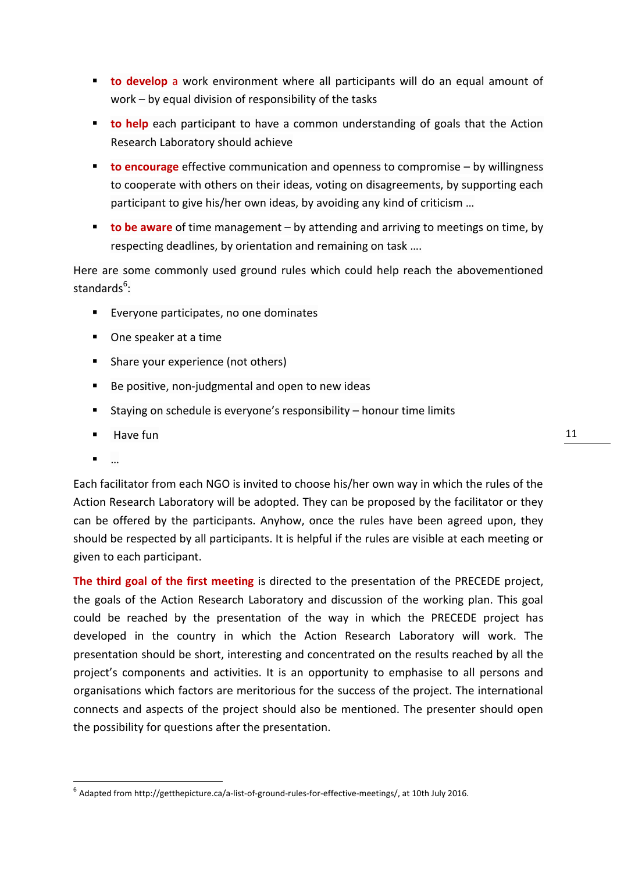- **to develop** a work environment where all participants will do an equal amount of work – by equal division of responsibility of the tasks
- **to help** each participant to have a common understanding of goals that the Action Research Laboratory should achieve
- **to encourage** effective communication and openness to compromise by willingness to cooperate with others on their ideas, voting on disagreements, by supporting each participant to give his/her own ideas, by avoiding any kind of criticism …
- **to be aware** of time management by attending and arriving to meetings on time, by respecting deadlines, by orientation and remaining on task ….

Here are some commonly used ground rules which could help reach the abovementioned standards<sup>6</sup>:

- **Everyone participates, no one dominates**
- One speaker at a time
- Share your experience (not others)
- Be positive, non-judgmental and open to new ideas
- Staying on schedule is everyone's responsibility honour time limits
- **Have fun**
- $\blacksquare$

**.** 

Each facilitator from each NGO is invited to choose his/her own way in which the rules of the Action Research Laboratory will be adopted. They can be proposed by the facilitator or they can be offered by the participants. Anyhow, once the rules have been agreed upon, they should be respected by all participants. It is helpful if the rules are visible at each meeting or given to each participant.

**The third goal of the first meeting** is directed to the presentation of the PRECEDE project, the goals of the Action Research Laboratory and discussion of the working plan. This goal could be reached by the presentation of the way in which the PRECEDE project has developed in the country in which the Action Research Laboratory will work. The presentation should be short, interesting and concentrated on the results reached by all the project's components and activities. It is an opportunity to emphasise to all persons and organisations which factors are meritorious for the success of the project. The international connects and aspects of the project should also be mentioned. The presenter should open the possibility for questions after the presentation.

<sup>6</sup> Adapted fro[m http://getthepicture.ca/a-list-of-ground-rules-for-effective-meetings/,](http://getthepicture.ca/a-list-of-ground-rules-for-effective-meetings/) at 10th July 2016.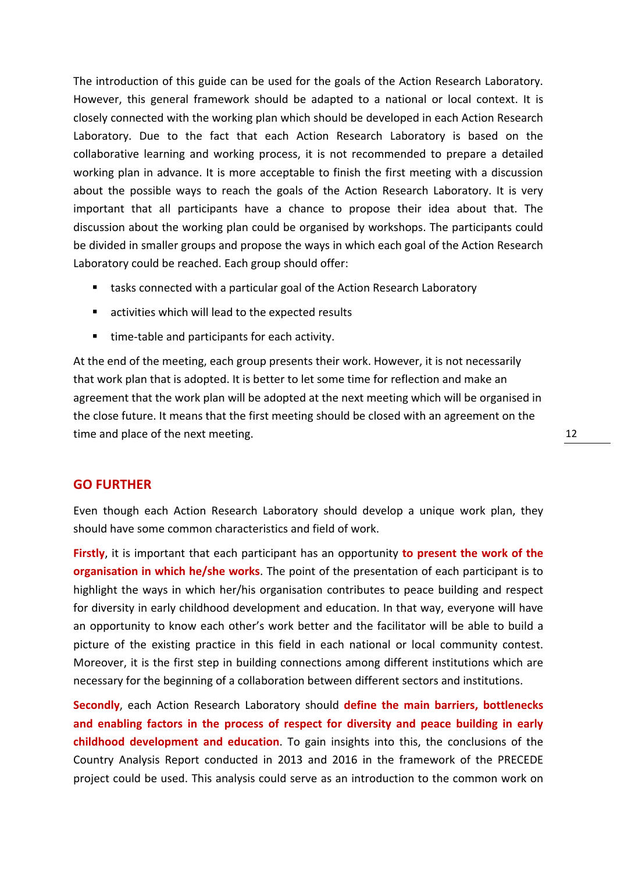The introduction of this guide can be used for the goals of the Action Research Laboratory. However, this general framework should be adapted to a national or local context. It is closely connected with the working plan which should be developed in each Action Research Laboratory. Due to the fact that each Action Research Laboratory is based on the collaborative learning and working process, it is not recommended to prepare a detailed working plan in advance. It is more acceptable to finish the first meeting with a discussion about the possible ways to reach the goals of the Action Research Laboratory. It is very important that all participants have a chance to propose their idea about that. The discussion about the working plan could be organised by workshops. The participants could be divided in smaller groups and propose the ways in which each goal of the Action Research Laboratory could be reached. Each group should offer:

- tasks connected with a particular goal of the Action Research Laboratory
- activities which will lead to the expected results
- time-table and participants for each activity.

At the end of the meeting, each group presents their work. However, it is not necessarily that work plan that is adopted. It is better to let some time for reflection and make an agreement that the work plan will be adopted at the next meeting which will be organised in the close future. It means that the first meeting should be closed with an agreement on the time and place of the next meeting.

#### <span id="page-11-0"></span>**GO FURTHER**

Even though each Action Research Laboratory should develop a unique work plan, they should have some common characteristics and field of work.

**Firstly**, it is important that each participant has an opportunity **to present the work of the organisation in which he/she works**. The point of the presentation of each participant is to highlight the ways in which her/his organisation contributes to peace building and respect for diversity in early childhood development and education. In that way, everyone will have an opportunity to know each other's work better and the facilitator will be able to build a picture of the existing practice in this field in each national or local community contest. Moreover, it is the first step in building connections among different institutions which are necessary for the beginning of a collaboration between different sectors and institutions.

**Secondly**, each Action Research Laboratory should **define the main barriers, bottlenecks and enabling factors in the process of respect for diversity and peace building in early childhood development and education**. To gain insights into this, the conclusions of the Country Analysis Report conducted in 2013 and 2016 in the framework of the PRECEDE project could be used. This analysis could serve as an introduction to the common work on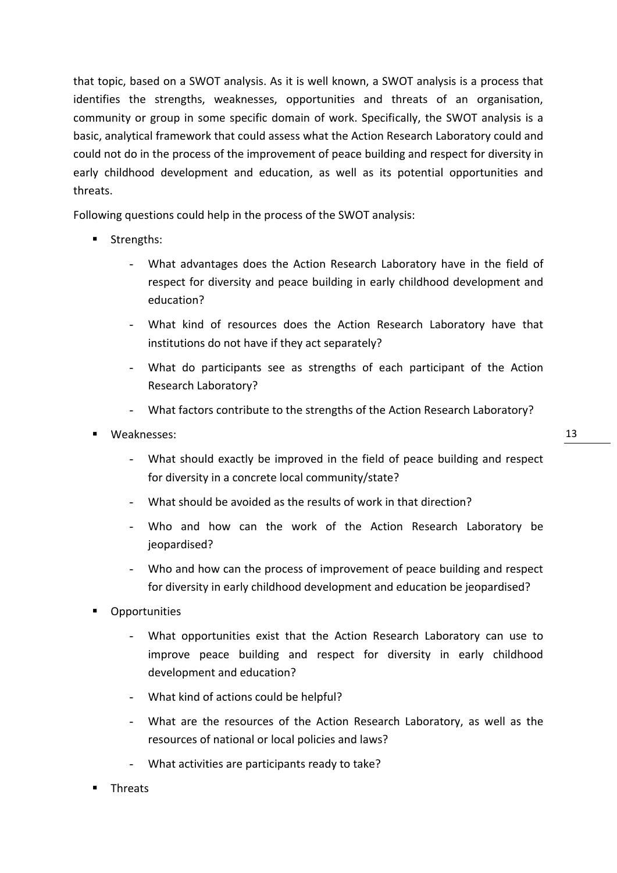that topic, based on a SWOT analysis. As it is well known, a SWOT analysis is a process that identifies the strengths, weaknesses, opportunities and threats of an organisation, community or group in some specific domain of work. Specifically, the SWOT analysis is a basic, analytical framework that could assess what the Action Research Laboratory could and could not do in the process of the improvement of peace building and respect for diversity in early childhood development and education, as well as its potential opportunities and threats.

Following questions could help in the process of the SWOT analysis:

- **Strengths:** 
	- What advantages does the Action Research Laboratory have in the field of respect for diversity and peace building in early childhood development and education?
	- What kind of resources does the Action Research Laboratory have that institutions do not have if they act separately?
	- What do participants see as strengths of each participant of the Action Research Laboratory?
	- What factors contribute to the strengths of the Action Research Laboratory?
- Weaknesses:
	- What should exactly be improved in the field of peace building and respect for diversity in a concrete local community/state?
	- What should be avoided as the results of work in that direction?
	- Who and how can the work of the Action Research Laboratory be jeopardised?
	- Who and how can the process of improvement of peace building and respect for diversity in early childhood development and education be jeopardised?
- **Opportunities** 
	- What opportunities exist that the Action Research Laboratory can use to improve peace building and respect for diversity in early childhood development and education?
	- What kind of actions could be helpful?
	- What are the resources of the Action Research Laboratory, as well as the resources of national or local policies and laws?
	- What activities are participants ready to take?
- Threats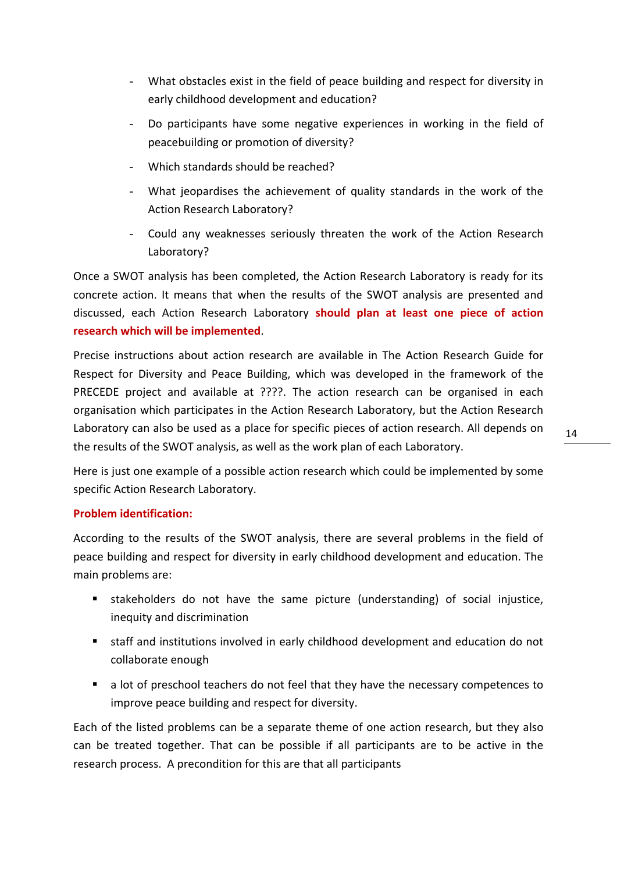- What obstacles exist in the field of peace building and respect for diversity in early childhood development and education?
- Do participants have some negative experiences in working in the field of peacebuilding or promotion of diversity?
- Which standards should be reached?
- What jeopardises the achievement of quality standards in the work of the Action Research Laboratory?
- Could any weaknesses seriously threaten the work of the Action Research Laboratory?

Once a SWOT analysis has been completed, the Action Research Laboratory is ready for its concrete action. It means that when the results of the SWOT analysis are presented and discussed, each Action Research Laboratory **should plan at least one piece of action research which will be implemented**.

Precise instructions about action research are available in The Action Research Guide for Respect for Diversity and Peace Building, which was developed in the framework of the PRECEDE project and available at ????. The action research can be organised in each organisation which participates in the Action Research Laboratory, but the Action Research Laboratory can also be used as a place for specific pieces of action research. All depends on the results of the SWOT analysis, as well as the work plan of each Laboratory.

Here is just one example of a possible action research which could be implemented by some specific Action Research Laboratory.

# **Problem identification:**

According to the results of the SWOT analysis, there are several problems in the field of peace building and respect for diversity in early childhood development and education. The main problems are:

- stakeholders do not have the same picture (understanding) of social injustice, inequity and discrimination
- staff and institutions involved in early childhood development and education do not collaborate enough
- **a** lot of preschool teachers do not feel that they have the necessary competences to improve peace building and respect for diversity.

Each of the listed problems can be a separate theme of one action research, but they also can be treated together. That can be possible if all participants are to be active in the research process. A precondition for this are that all participants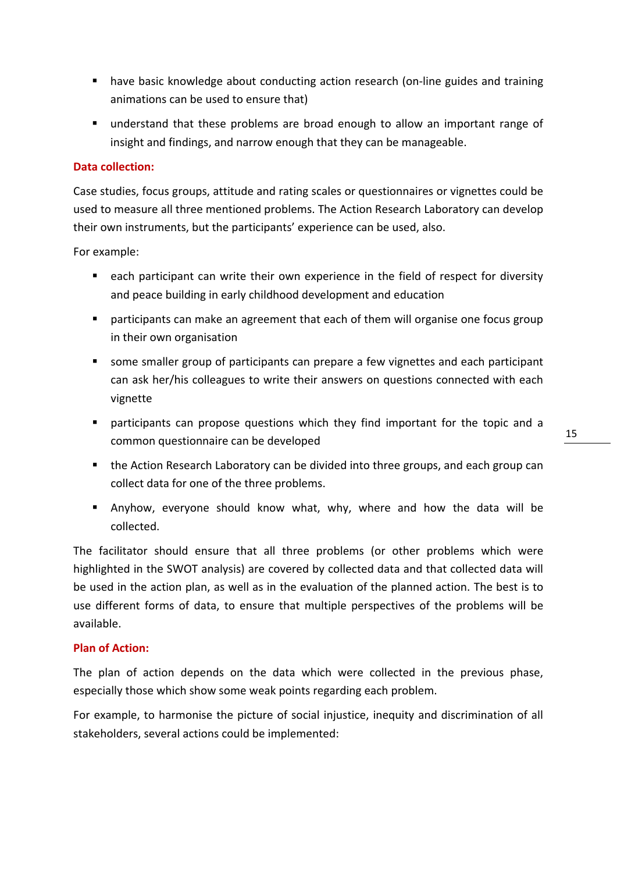- have basic knowledge about conducting action research (on-line guides and training animations can be used to ensure that)
- understand that these problems are broad enough to allow an important range of insight and findings, and narrow enough that they can be manageable.

# **Data collection:**

Case studies, focus groups, attitude and rating scales or questionnaires or vignettes could be used to measure all three mentioned problems. The Action Research Laboratory can develop their own instruments, but the participants' experience can be used, also.

For example:

- **E** each participant can write their own experience in the field of respect for diversity and peace building in early childhood development and education
- participants can make an agreement that each of them will organise one focus group in their own organisation
- some smaller group of participants can prepare a few vignettes and each participant can ask her/his colleagues to write their answers on questions connected with each vignette
- participants can propose questions which they find important for the topic and a common questionnaire can be developed
- the Action Research Laboratory can be divided into three groups, and each group can collect data for one of the three problems.
- Anyhow, everyone should know what, why, where and how the data will be collected.

The facilitator should ensure that all three problems (or other problems which were highlighted in the SWOT analysis) are covered by collected data and that collected data will be used in the action plan, as well as in the evaluation of the planned action. The best is to use different forms of data, to ensure that multiple perspectives of the problems will be available.

# **Plan of Action:**

The plan of action depends on the data which were collected in the previous phase, especially those which show some weak points regarding each problem.

For example, to harmonise the picture of social injustice, inequity and discrimination of all stakeholders, several actions could be implemented: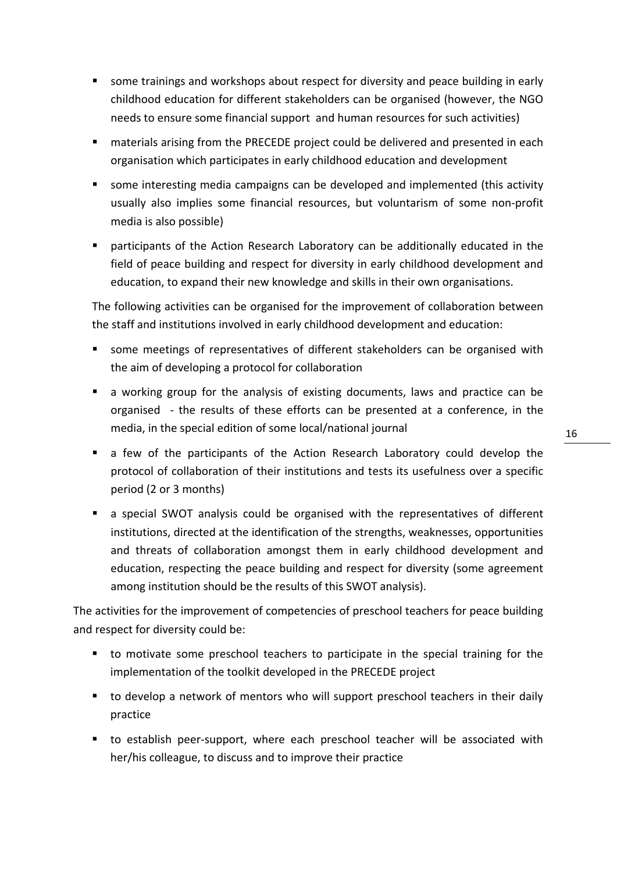- some trainings and workshops about respect for diversity and peace building in early childhood education for different stakeholders can be organised (however, the NGO needs to ensure some financial support and human resources for such activities)
- materials arising from the PRECEDE project could be delivered and presented in each organisation which participates in early childhood education and development
- some interesting media campaigns can be developed and implemented (this activity usually also implies some financial resources, but voluntarism of some non-profit media is also possible)
- participants of the Action Research Laboratory can be additionally educated in the field of peace building and respect for diversity in early childhood development and education, to expand their new knowledge and skills in their own organisations.

The following activities can be organised for the improvement of collaboration between the staff and institutions involved in early childhood development and education:

- some meetings of representatives of different stakeholders can be organised with the aim of developing a protocol for collaboration
- a working group for the analysis of existing documents, laws and practice can be organised - the results of these efforts can be presented at a conference, in the media, in the special edition of some local/national journal
- a few of the participants of the Action Research Laboratory could develop the protocol of collaboration of their institutions and tests its usefulness over a specific period (2 or 3 months)
- a special SWOT analysis could be organised with the representatives of different institutions, directed at the identification of the strengths, weaknesses, opportunities and threats of collaboration amongst them in early childhood development and education, respecting the peace building and respect for diversity (some agreement among institution should be the results of this SWOT analysis).

The activities for the improvement of competencies of preschool teachers for peace building and respect for diversity could be:

- to motivate some preschool teachers to participate in the special training for the implementation of the toolkit developed in the PRECEDE project
- to develop a network of mentors who will support preschool teachers in their daily practice
- to establish peer-support, where each preschool teacher will be associated with her/his colleague, to discuss and to improve their practice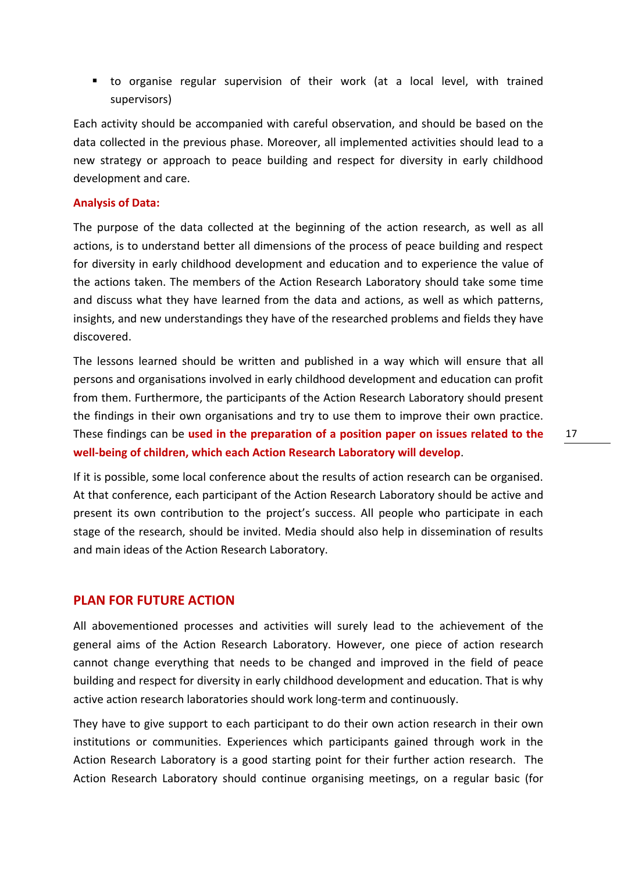to organise regular supervision of their work (at a local level, with trained supervisors)

Each activity should be accompanied with careful observation, and should be based on the data collected in the previous phase. Moreover, all implemented activities should lead to a new strategy or approach to peace building and respect for diversity in early childhood development and care.

#### **Analysis of Data:**

The purpose of the data collected at the beginning of the action research, as well as all actions, is to understand better all dimensions of the process of peace building and respect for diversity in early childhood development and education and to experience the value of the actions taken. The members of the Action Research Laboratory should take some time and discuss what they have learned from the data and actions, as well as which patterns, insights, and new understandings they have of the researched problems and fields they have discovered.

The lessons learned should be written and published in a way which will ensure that all persons and organisations involved in early childhood development and education can profit from them. Furthermore, the participants of the Action Research Laboratory should present the findings in their own organisations and try to use them to improve their own practice. These findings can be **used in the preparation of a position paper on issues related to the well-being of children, which each Action Research Laboratory will develop**.

If it is possible, some local conference about the results of action research can be organised. At that conference, each participant of the Action Research Laboratory should be active and present its own contribution to the project's success. All people who participate in each stage of the research, should be invited. Media should also help in dissemination of results and main ideas of the Action Research Laboratory.

# <span id="page-16-0"></span>**PLAN FOR FUTURE ACTION**

All abovementioned processes and activities will surely lead to the achievement of the general aims of the Action Research Laboratory. However, one piece of action research cannot change everything that needs to be changed and improved in the field of peace building and respect for diversity in early childhood development and education. That is why active action research laboratories should work long-term and continuously.

They have to give support to each participant to do their own action research in their own institutions or communities. Experiences which participants gained through work in the Action Research Laboratory is a good starting point for their further action research. The Action Research Laboratory should continue organising meetings, on a regular basic (for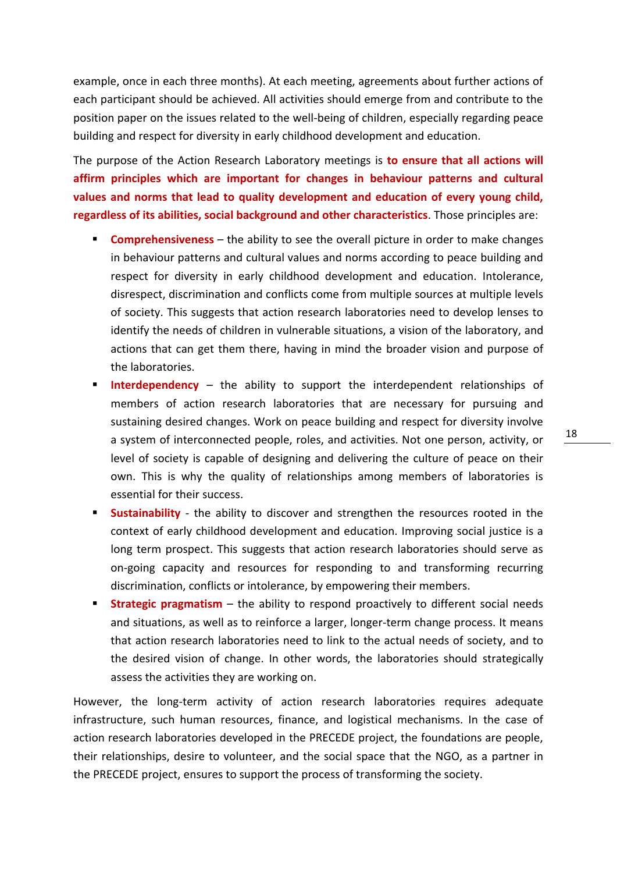example, once in each three months). At each meeting, agreements about further actions of each participant should be achieved. All activities should emerge from and contribute to the position paper on the issues related to the well-being of children, especially regarding peace building and respect for diversity in early childhood development and education.

The purpose of the Action Research Laboratory meetings is **to ensure that all actions will affirm principles which are important for changes in behaviour patterns and cultural values and norms that lead to quality development and education of every young child, regardless of its abilities, social background and other characteristics**. Those principles are:

- **Comprehensiveness** the ability to see the overall picture in order to make changes in behaviour patterns and cultural values and norms according to peace building and respect for diversity in early childhood development and education. Intolerance, disrespect, discrimination and conflicts come from multiple sources at multiple levels of society. This suggests that action research laboratories need to develop lenses to identify the needs of children in vulnerable situations, a vision of the laboratory, and actions that can get them there, having in mind the broader vision and purpose of the laboratories.
- **Interdependency** the ability to support the interdependent relationships of members of action research laboratories that are necessary for pursuing and sustaining desired changes. Work on peace building and respect for diversity involve a system of interconnected people, roles, and activities. Not one person, activity, or level of society is capable of designing and delivering the culture of peace on their own. This is why the quality of relationships among members of laboratories is essential for their success.
- **Sustainability** the ability to discover and strengthen the resources rooted in the context of early childhood development and education. Improving social justice is a long term prospect. This suggests that action research laboratories should serve as on-going capacity and resources for responding to and transforming recurring discrimination, conflicts or intolerance, by empowering their members.
- **Strategic pragmatism** the ability to respond proactively to different social needs and situations, as well as to reinforce a larger, longer-term change process. It means that action research laboratories need to link to the actual needs of society, and to the desired vision of change. In other words, the laboratories should strategically assess the activities they are working on.

However, the long-term activity of action research laboratories requires adequate infrastructure, such human resources, finance, and logistical mechanisms. In the case of action research laboratories developed in the PRECEDE project, the foundations are people, their relationships, desire to volunteer, and the social space that the NGO, as a partner in the PRECEDE project, ensures to support the process of transforming the society.